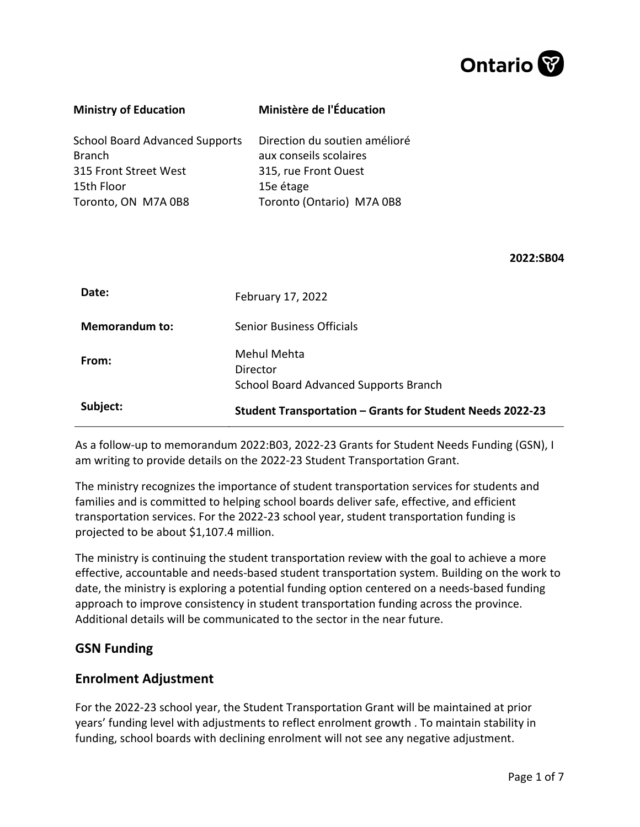

| <b>Ministry of Education</b>                                                                                  | Ministère de l'Éducation                                                                                                  |  |  |  |  |  |
|---------------------------------------------------------------------------------------------------------------|---------------------------------------------------------------------------------------------------------------------------|--|--|--|--|--|
| <b>School Board Advanced Supports</b><br>Branch<br>315 Front Street West<br>15th Floor<br>Toronto, ON M7A 0B8 | Direction du soutien amélioré<br>aux conseils scolaires<br>315, rue Front Ouest<br>15e étage<br>Toronto (Ontario) M7A 0B8 |  |  |  |  |  |
|                                                                                                               | 2022:SB04                                                                                                                 |  |  |  |  |  |
| Date:                                                                                                         | February 17, 2022                                                                                                         |  |  |  |  |  |
| <b>Memorandum to:</b>                                                                                         | <b>Senior Business Officials</b>                                                                                          |  |  |  |  |  |
| From:                                                                                                         | <b>Mehul Mehta</b><br>Director<br>School Board Advanced Supports Branch                                                   |  |  |  |  |  |
| Subject:                                                                                                      | Student Transportation - Grants for Student Needs 2022-23                                                                 |  |  |  |  |  |
|                                                                                                               |                                                                                                                           |  |  |  |  |  |

As a follow-up to memorandum 2022:B03, 2022-23 Grants for Student Needs Funding (GSN), I am writing to provide details on the 2022-23 Student Transportation Grant.

The ministry recognizes the importance of student transportation services for students and families and is committed to helping school boards deliver safe, effective, and efficient transportation services. For the 2022-23 school year, student transportation funding is projected to be about \$1,107.4 million.

The ministry is continuing the student transportation review with the goal to achieve a more effective, accountable and needs-based student transportation system. Building on the work to date, the ministry is exploring a potential funding option centered on a needs-based funding approach to improve consistency in student transportation funding across the province. Additional details will be communicated to the sector in the near future.

### **GSN Funding**

### **Enrolment Adjustment**

For the 2022-23 school year, the Student Transportation Grant will be maintained at prior years' funding level with adjustments to reflect enrolment growth . To maintain stability in funding, school boards with declining enrolment will not see any negative adjustment.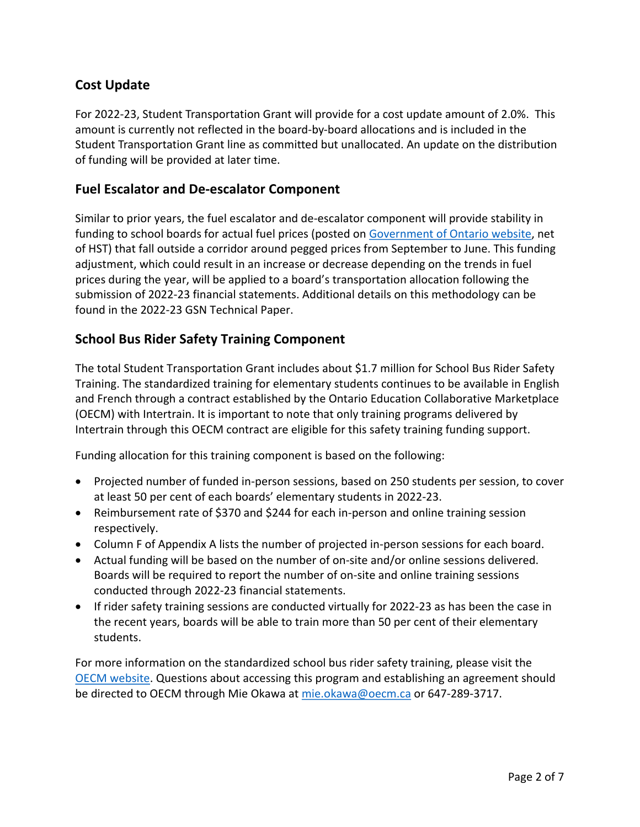# **Cost Update**

For 2022-23, Student Transportation Grant will provide for a cost update amount of 2.0%. This amount is currently not reflected in the board-by-board allocations and is included in the Student Transportation Grant line as committed but unallocated. An update on the distribution of funding will be provided at later time.

## **Fuel Escalator and De-escalator Component**

Similar to prior years, the fuel escalator and de-escalator component will provide stability in funding to school boards for actual fuel prices (posted on [Government of Ontario website,](https://www.ontario.ca/page/motor-fuel-prices) net of HST) that fall outside a corridor around pegged prices from September to June. This funding adjustment, which could result in an increase or decrease depending on the trends in fuel prices during the year, will be applied to a board's transportation allocation following the submission of 2022-23 financial statements. Additional details on this methodology can be found in the 2022-23 GSN Technical Paper.

## **School Bus Rider Safety Training Component**

The total Student Transportation Grant includes about \$1.7 million for School Bus Rider Safety Training. The standardized training for elementary students continues to be available in English and French through a contract established by the Ontario Education Collaborative Marketplace (OECM) with Intertrain. It is important to note that only training programs delivered by Intertrain through this OECM contract are eligible for this safety training funding support.

Funding allocation for this training component is based on the following:

- Projected number of funded in-person sessions, based on 250 students per session, to cover at least 50 per cent of each boards' elementary students in 2022-23.
- Reimbursement rate of \$370 and \$244 for each in-person and online training session respectively.
- Column F of Appendix A lists the number of projected in-person sessions for each board.
- Actual funding will be based on the number of on-site and/or online sessions delivered. Boards will be required to report the number of on-site and online training sessions conducted through 2022-23 financial statements.
- If rider safety training sessions are conducted virtually for 2022-23 as has been the case in the recent years, boards will be able to train more than 50 per cent of their elementary students.

For more information on the standardized school bus rider safety training, please visit the [OECM website.](https://oecm.ca/school-bus-rider-on-site-safety-training-program) Questions about accessing this program and establishing an agreement should be directed to OECM through Mie Okawa at [mie.okawa@oecm.ca](mailto:mie.okawa@oecm.ca) or 647-289-3717.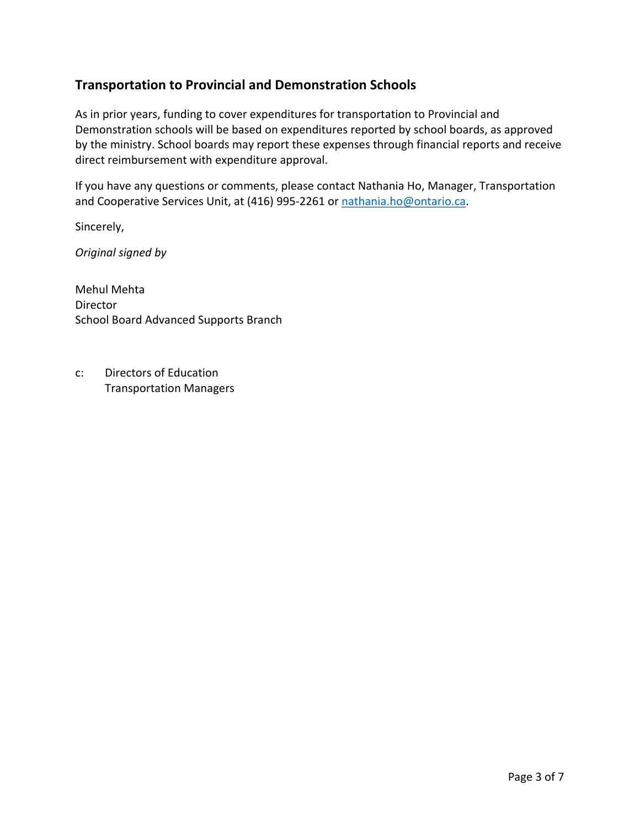## **Transportation to Provincial and Demonstration Schools**

As in prior years, funding to cover expenditures for transportation to Provincial and Demonstration schools will be based on expenditures reported by school boards, as approved by the ministry. School boards may report these expenses through financial reports and receive direct reimbursement with expenditure approval.

If you have any questions or comments, please contact Nathania Ho, Manager, Transportation and Cooperative Services Unit, at (416) 995-2261 or [nathania.ho@ontario.ca.](mailto:nathania.ho@ontario.ca)

Sincerely,

*Original signed by*

Mehul Mehta Director School Board Advanced Supports Branch

c: Directors of Education Transportation Managers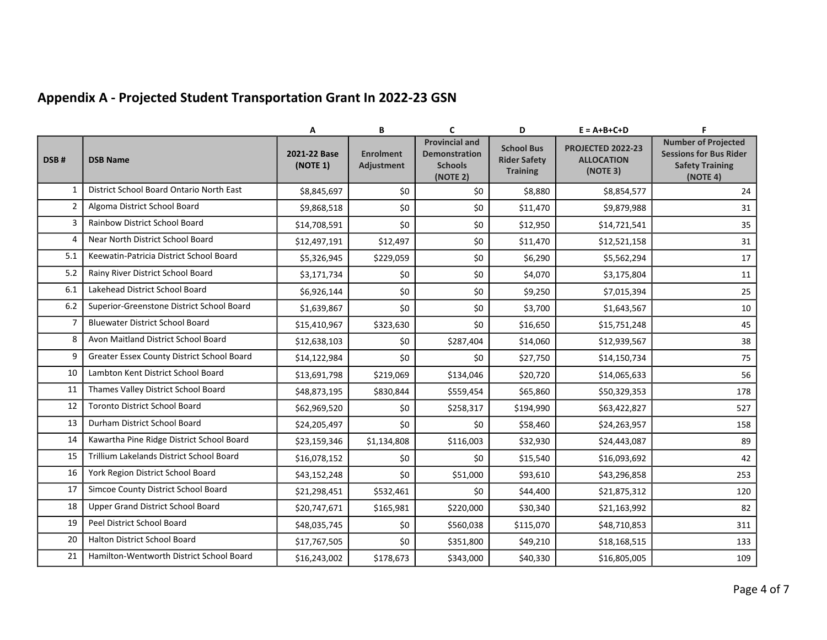# **Appendix A - Projected Student Transportation Grant In 2022-23 GSN**

|                |                                            | Α                        | B                                     | $\mathbf{C}$                                                                | D                                                           | $E = A + B + C + D$                                       | F.                                                                                                |
|----------------|--------------------------------------------|--------------------------|---------------------------------------|-----------------------------------------------------------------------------|-------------------------------------------------------------|-----------------------------------------------------------|---------------------------------------------------------------------------------------------------|
| DSB#           | <b>DSB Name</b>                            | 2021-22 Base<br>(NOTE 1) | <b>Enrolment</b><br><b>Adjustment</b> | <b>Provincial and</b><br><b>Demonstration</b><br><b>Schools</b><br>(NOTE 2) | <b>School Bus</b><br><b>Rider Safety</b><br><b>Training</b> | <b>PROJECTED 2022-23</b><br><b>ALLOCATION</b><br>(NOTE 3) | <b>Number of Projected</b><br><b>Sessions for Bus Rider</b><br><b>Safety Training</b><br>(NOTE 4) |
| $\mathbf{1}$   | District School Board Ontario North East   | \$8,845,697              | \$0                                   | \$0                                                                         | \$8,880                                                     | \$8,854,577                                               | 24                                                                                                |
| $\overline{2}$ | Algoma District School Board               | \$9,868,518              | \$0                                   | \$0                                                                         | \$11,470                                                    | \$9,879,988                                               | 31                                                                                                |
| 3              | Rainbow District School Board              | \$14,708,591             | \$0                                   | \$0                                                                         | \$12,950                                                    | \$14,721,541                                              | 35                                                                                                |
| 4              | Near North District School Board           | \$12,497,191             | \$12,497                              | \$0                                                                         | \$11,470                                                    | \$12,521,158                                              | 31                                                                                                |
| 5.1            | Keewatin-Patricia District School Board    | \$5,326,945              | \$229,059                             | \$0                                                                         | \$6,290                                                     | \$5,562,294                                               | $17\,$                                                                                            |
| 5.2            | Rainy River District School Board          | \$3,171,734              | \$0                                   | \$0                                                                         | \$4,070                                                     | \$3,175,804                                               | 11                                                                                                |
| 6.1            | Lakehead District School Board             | \$6,926,144              | \$0                                   | \$0                                                                         | \$9,250                                                     | \$7,015,394                                               | 25                                                                                                |
| 6.2            | Superior-Greenstone District School Board  | \$1,639,867              | \$0                                   | \$0                                                                         | \$3,700                                                     | \$1,643,567                                               | 10                                                                                                |
| 7              | <b>Bluewater District School Board</b>     | \$15,410,967             | \$323,630                             | \$0                                                                         | \$16,650                                                    | \$15,751,248                                              | 45                                                                                                |
| 8              | Avon Maitland District School Board        | \$12,638,103             | \$0                                   | \$287,404                                                                   | \$14,060                                                    | \$12,939,567                                              | 38                                                                                                |
| 9              | Greater Essex County District School Board | \$14,122,984             | \$0                                   | \$0                                                                         | \$27,750                                                    | \$14,150,734                                              | 75                                                                                                |
| 10             | Lambton Kent District School Board         | \$13,691,798             | \$219,069                             | \$134,046                                                                   | \$20,720                                                    | \$14,065,633                                              | 56                                                                                                |
| 11             | Thames Valley District School Board        | \$48,873,195             | \$830,844                             | \$559,454                                                                   | \$65,860                                                    | \$50,329,353                                              | 178                                                                                               |
| 12             | <b>Toronto District School Board</b>       | \$62,969,520             | \$0                                   | \$258,317                                                                   | \$194,990                                                   | \$63,422,827                                              | 527                                                                                               |
| 13             | Durham District School Board               | \$24,205,497             | \$0                                   | \$0                                                                         | \$58,460                                                    | \$24,263,957                                              | 158                                                                                               |
| 14             | Kawartha Pine Ridge District School Board  | \$23,159,346             | \$1,134,808                           | \$116,003                                                                   | \$32,930                                                    | \$24,443,087                                              | 89                                                                                                |
| 15             | Trillium Lakelands District School Board   | \$16,078,152             | \$0                                   | \$0                                                                         | \$15,540                                                    | \$16,093,692                                              | 42                                                                                                |
| 16             | York Region District School Board          | \$43,152,248             | \$0                                   | \$51,000                                                                    | \$93,610                                                    | \$43,296,858                                              | 253                                                                                               |
| 17             | Simcoe County District School Board        | \$21,298,451             | \$532,461                             | \$0                                                                         | \$44,400                                                    | \$21,875,312                                              | 120                                                                                               |
| 18             | Upper Grand District School Board          | \$20,747,671             | \$165,981                             | \$220,000                                                                   | \$30,340                                                    | \$21,163,992                                              | 82                                                                                                |
| 19             | Peel District School Board                 | \$48,035,745             | \$0                                   | \$560,038                                                                   | \$115,070                                                   | \$48,710,853                                              | 311                                                                                               |
| 20             | <b>Halton District School Board</b>        | \$17,767,505             | \$0                                   | \$351,800                                                                   | \$49,210                                                    | \$18,168,515                                              | 133                                                                                               |
| 21             | Hamilton-Wentworth District School Board   | \$16,243,002             | \$178,673                             | \$343,000                                                                   | \$40,330                                                    | \$16,805,005                                              | 109                                                                                               |
|                |                                            |                          |                                       |                                                                             |                                                             |                                                           |                                                                                                   |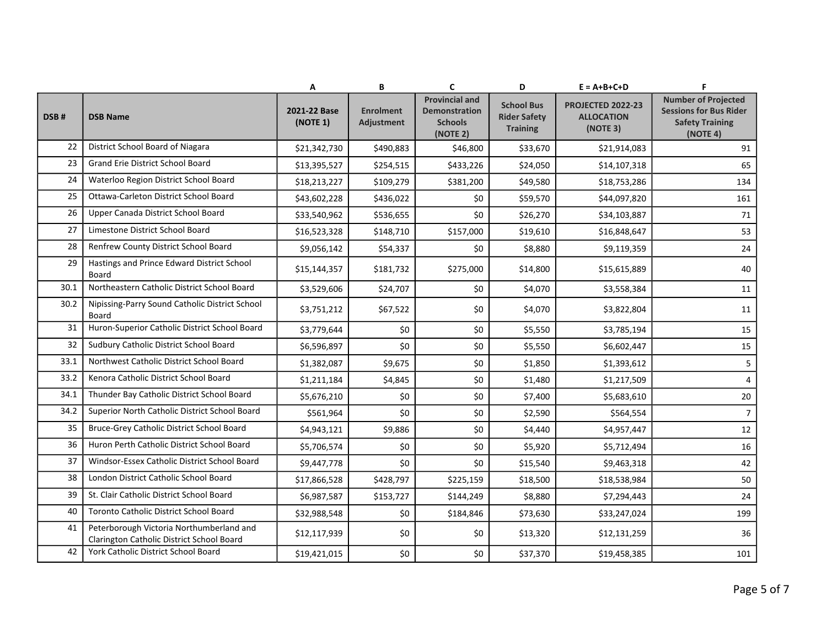|      |                                                                                       | Α                        | В                              | C                                                                           | D                                                           | $E = A + B + C + D$                                       | F                                                                                                 |
|------|---------------------------------------------------------------------------------------|--------------------------|--------------------------------|-----------------------------------------------------------------------------|-------------------------------------------------------------|-----------------------------------------------------------|---------------------------------------------------------------------------------------------------|
| DSB# | <b>DSB Name</b>                                                                       | 2021-22 Base<br>(NOTE 1) | <b>Enrolment</b><br>Adjustment | <b>Provincial and</b><br><b>Demonstration</b><br><b>Schools</b><br>(NOTE 2) | <b>School Bus</b><br><b>Rider Safety</b><br><b>Training</b> | <b>PROJECTED 2022-23</b><br><b>ALLOCATION</b><br>(NOTE 3) | <b>Number of Projected</b><br><b>Sessions for Bus Rider</b><br><b>Safety Training</b><br>(NOTE 4) |
| 22   | District School Board of Niagara                                                      | \$21,342,730             | \$490,883                      | \$46,800                                                                    | \$33,670                                                    | \$21,914,083                                              | 91                                                                                                |
| 23   | <b>Grand Erie District School Board</b>                                               | \$13,395,527             | \$254,515                      | \$433,226                                                                   | \$24,050                                                    | \$14,107,318                                              | 65                                                                                                |
| 24   | Waterloo Region District School Board                                                 | \$18,213,227             | \$109,279                      | \$381,200                                                                   | \$49,580                                                    | \$18,753,286                                              | 134                                                                                               |
| 25   | Ottawa-Carleton District School Board                                                 | \$43,602,228             | \$436,022                      | \$0                                                                         | \$59,570                                                    | \$44,097,820                                              | 161                                                                                               |
| 26   | Upper Canada District School Board                                                    | \$33,540,962             | \$536,655                      | \$0                                                                         | \$26,270                                                    | \$34,103,887                                              | 71                                                                                                |
| 27   | Limestone District School Board                                                       | \$16,523,328             | \$148,710                      | \$157,000                                                                   | \$19,610                                                    | \$16,848,647                                              | 53                                                                                                |
| 28   | Renfrew County District School Board                                                  | \$9,056,142              | \$54,337                       | \$0                                                                         | \$8,880                                                     | \$9,119,359                                               | 24                                                                                                |
| 29   | Hastings and Prince Edward District School<br>Board                                   | \$15,144,357             | \$181,732                      | \$275,000                                                                   | \$14,800                                                    | \$15,615,889                                              | 40                                                                                                |
| 30.1 | Northeastern Catholic District School Board                                           | \$3,529,606              | \$24,707                       | \$0                                                                         | \$4,070                                                     | \$3,558,384                                               | 11                                                                                                |
| 30.2 | Nipissing-Parry Sound Catholic District School<br>Board                               | \$3,751,212              | \$67,522                       | \$0                                                                         | \$4,070                                                     | \$3,822,804                                               | 11                                                                                                |
| 31   | Huron-Superior Catholic District School Board                                         | \$3,779,644              | \$0                            | \$0                                                                         | \$5,550                                                     | \$3,785,194                                               | 15                                                                                                |
| 32   | Sudbury Catholic District School Board                                                | \$6,596,897              | \$0                            | \$0                                                                         | \$5,550                                                     | \$6,602,447                                               | 15                                                                                                |
| 33.1 | Northwest Catholic District School Board                                              | \$1,382,087              | \$9,675                        | \$0                                                                         | \$1,850                                                     | \$1,393,612                                               | 5                                                                                                 |
| 33.2 | Kenora Catholic District School Board                                                 | \$1,211,184              | \$4,845                        | \$0                                                                         | \$1,480                                                     | \$1,217,509                                               | 4                                                                                                 |
| 34.1 | Thunder Bay Catholic District School Board                                            | \$5,676,210              | \$0                            | \$0                                                                         | \$7,400                                                     | \$5,683,610                                               | 20                                                                                                |
| 34.2 | Superior North Catholic District School Board                                         | \$561,964                | \$0                            | \$0                                                                         | \$2,590                                                     | \$564,554                                                 | $7^{\circ}$                                                                                       |
| 35   | Bruce-Grey Catholic District School Board                                             | \$4,943,121              | \$9,886                        | \$0                                                                         | \$4,440                                                     | \$4,957,447                                               | 12                                                                                                |
| 36   | Huron Perth Catholic District School Board                                            | \$5,706,574              | \$0                            | \$0                                                                         | \$5,920                                                     | \$5,712,494                                               | 16                                                                                                |
| 37   | Windsor-Essex Catholic District School Board                                          | \$9,447,778              | \$0                            | \$0                                                                         | \$15,540                                                    | \$9,463,318                                               | 42                                                                                                |
| 38   | London District Catholic School Board                                                 | \$17,866,528             | \$428,797                      | \$225,159                                                                   | \$18,500                                                    | \$18,538,984                                              | 50                                                                                                |
| 39   | St. Clair Catholic District School Board                                              | \$6,987,587              | \$153,727                      | \$144,249                                                                   | \$8,880                                                     | \$7,294,443                                               | 24                                                                                                |
| 40   | Toronto Catholic District School Board                                                | \$32,988,548             | \$0                            | \$184,846                                                                   | \$73,630                                                    | \$33,247,024                                              | 199                                                                                               |
| 41   | Peterborough Victoria Northumberland and<br>Clarington Catholic District School Board | \$12,117,939             | \$0                            | \$0                                                                         | \$13,320                                                    | \$12,131,259                                              | 36                                                                                                |
| 42   | York Catholic District School Board                                                   | \$19,421,015             | \$0                            | \$0                                                                         | \$37,370                                                    | \$19,458,385                                              | 101                                                                                               |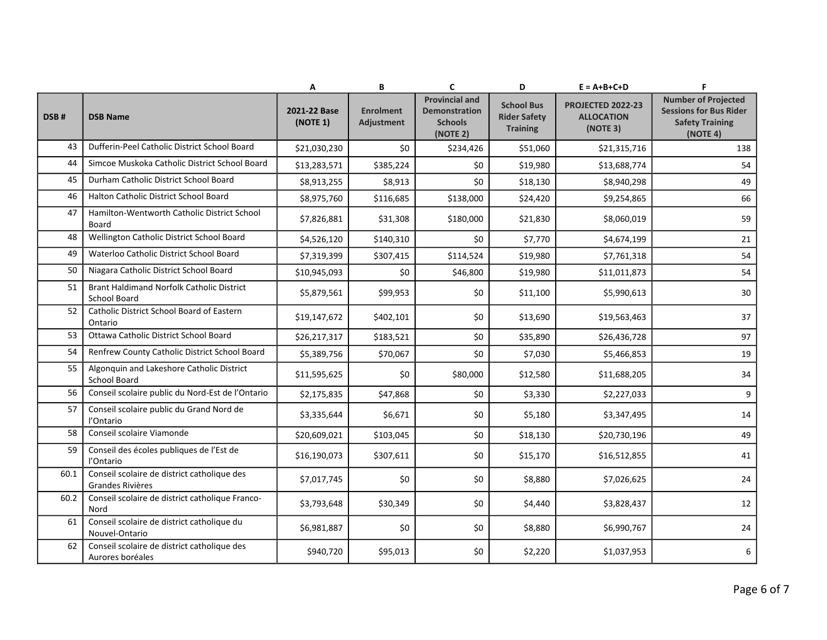|      |                                                                  | Α                        | В                              | C                                                                           | D                                                           | $E = A + B + C + D$                                | F                                                                                                 |
|------|------------------------------------------------------------------|--------------------------|--------------------------------|-----------------------------------------------------------------------------|-------------------------------------------------------------|----------------------------------------------------|---------------------------------------------------------------------------------------------------|
| DSB# | <b>DSB Name</b>                                                  | 2021-22 Base<br>(NOTE 1) | <b>Enrolment</b><br>Adjustment | <b>Provincial and</b><br><b>Demonstration</b><br><b>Schools</b><br>(NOTE 2) | <b>School Bus</b><br><b>Rider Safety</b><br><b>Training</b> | PROJECTED 2022-23<br><b>ALLOCATION</b><br>(NOTE 3) | <b>Number of Projected</b><br><b>Sessions for Bus Rider</b><br><b>Safety Training</b><br>(NOTE 4) |
| 43   | Dufferin-Peel Catholic District School Board                     | \$21,030,230             | \$0                            | \$234,426                                                                   | \$51,060                                                    | \$21,315,716                                       | 138                                                                                               |
| 44   | Simcoe Muskoka Catholic District School Board                    | \$13,283,571             | \$385,224                      | \$0                                                                         | \$19,980                                                    | \$13,688,774                                       | 54                                                                                                |
| 45   | Durham Catholic District School Board                            | \$8,913,255              | \$8,913                        | \$0                                                                         | \$18,130                                                    | \$8,940,298                                        | 49                                                                                                |
| 46   | Halton Catholic District School Board                            | \$8,975,760              | \$116,685                      | \$138,000                                                                   | \$24,420                                                    | \$9,254,865                                        | 66                                                                                                |
| 47   | Hamilton-Wentworth Catholic District School<br>Board             | \$7,826,881              | \$31,308                       | \$180,000                                                                   | \$21,830                                                    | \$8,060,019                                        | 59                                                                                                |
| 48   | Wellington Catholic District School Board                        | \$4,526,120              | \$140,310                      | \$0                                                                         | \$7,770                                                     | \$4,674,199                                        | 21                                                                                                |
| 49   | Waterloo Catholic District School Board                          | \$7,319,399              | \$307,415                      | \$114,524                                                                   | \$19,980                                                    | \$7,761,318                                        | 54                                                                                                |
| 50   | Niagara Catholic District School Board                           | \$10,945,093             | \$0                            | \$46,800                                                                    | \$19,980                                                    | \$11,011,873                                       | 54                                                                                                |
| 51   | Brant Haldimand Norfolk Catholic District<br><b>School Board</b> | \$5,879,561              | \$99,953                       | \$0                                                                         | \$11,100                                                    | \$5,990,613                                        | 30                                                                                                |
| 52   | Catholic District School Board of Eastern<br>Ontario             | \$19,147,672             | \$402,101                      | \$0                                                                         | \$13,690                                                    | \$19,563,463                                       | 37                                                                                                |
| 53   | Ottawa Catholic District School Board                            | \$26,217,317             | \$183,521                      | \$0                                                                         | \$35,890                                                    | \$26,436,728                                       | 97                                                                                                |
| 54   | Renfrew County Catholic District School Board                    | \$5,389,756              | \$70,067                       | \$0                                                                         | \$7,030                                                     | \$5,466,853                                        | 19                                                                                                |
| 55   | Algonquin and Lakeshore Catholic District<br><b>School Board</b> | \$11,595,625             | \$0                            | \$80,000                                                                    | \$12,580                                                    | \$11,688,205                                       | 34                                                                                                |
| 56   | Conseil scolaire public du Nord-Est de l'Ontario                 | \$2,175,835              | \$47,868                       | \$0                                                                         | \$3,330                                                     | \$2,227,033                                        | 9                                                                                                 |
| 57   | Conseil scolaire public du Grand Nord de<br>l'Ontario            | \$3,335,644              | \$6,671                        | \$0                                                                         | \$5,180                                                     | \$3,347,495                                        | 14                                                                                                |
| 58   | Conseil scolaire Viamonde                                        | \$20,609,021             | \$103,045                      | \$0                                                                         | \$18,130                                                    | \$20,730,196                                       | 49                                                                                                |
| 59   | Conseil des écoles publiques de l'Est de<br>l'Ontario            | \$16,190,073             | \$307,611                      | \$0                                                                         | \$15,170                                                    | \$16,512,855                                       | 41                                                                                                |
| 60.1 | Conseil scolaire de district catholique des<br>Grandes Rivières  | \$7,017,745              | \$0                            | \$0                                                                         | \$8,880                                                     | \$7,026,625                                        | 24                                                                                                |
| 60.2 | Conseil scolaire de district catholique Franco-<br>Nord          | \$3,793,648              | \$30,349                       | \$0                                                                         | \$4,440                                                     | \$3,828,437                                        | 12                                                                                                |
| 61   | Conseil scolaire de district catholique du<br>Nouvel-Ontario     | \$6,981,887              | \$0                            | \$0                                                                         | \$8,880                                                     | \$6,990,767                                        | 24                                                                                                |
| 62   | Conseil scolaire de district catholique des<br>Aurores boréales  | \$940,720                | \$95,013                       | \$0                                                                         | \$2,220                                                     | \$1,037,953                                        | 6                                                                                                 |